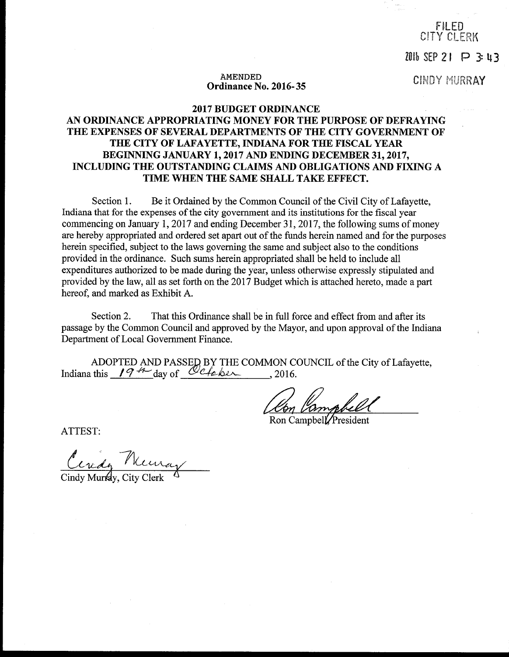FILED CITY CLERK

 $2010$  SEP 21 P 3:43

# AMENDED<br> **Ordinance No. 2016-35**<br>
CINDY MURRAY

# 2017 BUDGET ORDINANCE AN ORDINANCE APPROPRIATING MONEY FOR THE PURPOSE OF DEFRAYING THE EXPENSES OF SEVERAL DEPARTMENTS OF THE CITY GOVERNMENT OF THE CITY OF LAFAYETTE, INDIANA FOR THE FISCAL YEAR BEGINNING JANUARY 1, 2017 AND ENDING DECEMBER 31, 2017, INCLUDING THE OUTSTANDING CLAIMS AND OBLIGATIONS AND FIXING A TIME WHEN THE SAME SHALL TAKE EFFECT.

Section 1. Be it Ordained by the Common Council of the Civil City of Lafayette, Indiana that for the expenses of the city government and its institutions for the fiscal year commencing on January 1, 2017 and ending December 31, 2017, the following sums of money are hereby appropriated and ordered set apart out of the funds herein named and for the purposes herein specified, subject to the laws governing the same and subject also to the conditions provided in the ordinance. Such sums herein appropriated shall be held to include all expenditures authorized to be made during the year, unless otherwise expressly stipulated and provided by the law, all as set forth on the 2017 Budget which is attached hereto, made a part hereof, and marked as Exhibit A.

Section 2. That this Ordinance shall be in full force and effect from and after its passage by the Common Council and approved by the Mayor, and upon approval of the Indiana Department of Local Government Finance.

ADOPTED AND PASSED BY THE COMMON COUNCIL of the City of Lafayette, Indiana this  $194$  day of Cheber, 2016.

1 Kompbel )<br>h

Ron Campbell/President

ATTEST:

Cendy Reuray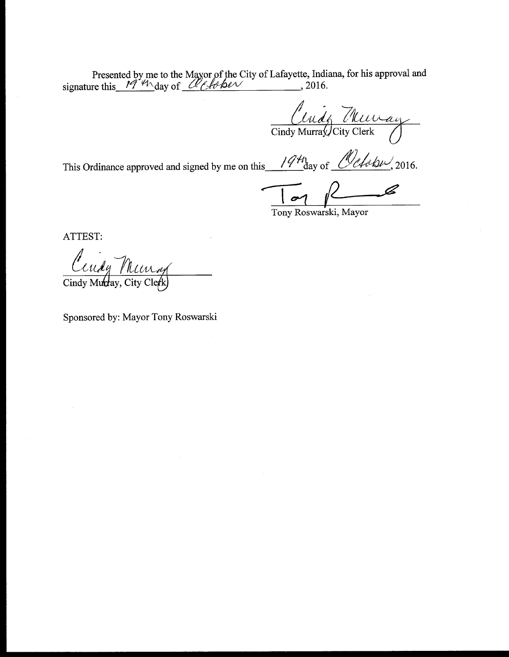Presented by me to the Mayor of the City of Lafayette, Indiana, for his approval and signature this  $19.4\text{ days}$  of  $\alpha$  (*A* 6 be  $\alpha$  ) 2016.

Cendy Thu Cindy Murray/City Clerk

This Ordinance approved and signed by me on this  $1941$  day of  $0.444 \times 2016$ .

Tony Roswarski, Mayor

ATTEST:

Cendy

Cindy Murtay, City Clerk

Sponsored by: Mayor Tony Roswarski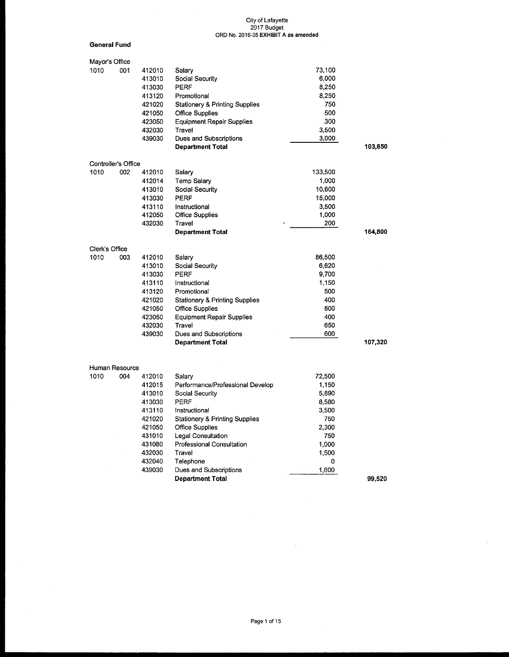General Fund

| Mayor's Office |                       |        |                                           |         |         |
|----------------|-----------------------|--------|-------------------------------------------|---------|---------|
| 1010           | 001                   | 412010 | Salary                                    | 73,100  |         |
|                |                       | 413010 | Social Security                           | 6,000   |         |
|                |                       | 413030 | <b>PERF</b>                               | 8,250   |         |
|                |                       | 413120 | Promotional                               | 8,250   |         |
|                |                       | 421020 | <b>Stationery &amp; Printing Supplies</b> | 750     |         |
|                |                       | 421050 | <b>Office Supplies</b>                    | 500     |         |
|                |                       | 423050 | <b>Equipment Repair Supplies</b>          | 300     |         |
|                |                       | 432030 | Travel                                    | 3,500   |         |
|                |                       | 439030 | Dues and Subscriptions                    | 3,000   |         |
|                |                       |        | <b>Department Total</b>                   |         | 103,650 |
|                | Controller's Office   |        |                                           |         |         |
| 1010           | 002                   | 412010 | Salary                                    | 133,500 |         |
|                |                       | 412014 | Temp Salary                               | 1,000   |         |
|                |                       | 413010 | Social Security                           | 10,600  |         |
|                |                       | 413030 | PERF                                      | 15,000  |         |
|                |                       | 413110 | Instructional                             | 3.500   |         |
|                |                       | 412050 | <b>Office Supplies</b>                    | 1,000   |         |
|                |                       | 432030 | Travel                                    | 200     |         |
|                |                       |        | <b>Department Total</b>                   |         | 164,800 |
|                |                       |        |                                           |         |         |
| Clerk's Office |                       |        |                                           |         |         |
| 1010           | 003                   | 412010 | Salary                                    | 86,500  |         |
|                |                       | 413010 | Social Security                           | 6,620   |         |
|                |                       | 413030 | <b>PERF</b>                               | 9,700   |         |
|                |                       | 413110 | Instructional                             | 1,150   |         |
|                |                       | 413120 | Promotional                               | 500     |         |
|                |                       | 421020 | <b>Stationery &amp; Printing Supplies</b> | 400     |         |
|                |                       | 421050 | <b>Office Supplies</b>                    | 800     |         |
|                |                       | 423050 | <b>Equipment Repair Supplies</b>          | 400     |         |
|                |                       | 432030 | Travel                                    | 650     |         |
|                |                       | 439030 | Dues and Subscriptions                    | 600     |         |
|                |                       |        | <b>Department Total</b>                   |         | 107,320 |
|                |                       |        |                                           |         |         |
| 1010           | Human Resource<br>004 | 412010 | Salary                                    | 72,500  |         |
|                |                       | 412015 | Performance/Professional Develop          | 1,150   |         |
|                |                       | 413010 | Social Security                           | 5,890   |         |
|                |                       | 413030 | PERF                                      | 8,580   |         |
|                |                       | 413110 | Instructional                             | 3,500   |         |
|                |                       | 421020 | <b>Stationery &amp; Printing Supplies</b> | 750     |         |
|                |                       | 421050 | <b>Office Supplies</b>                    | 2,300   |         |
|                |                       | 431010 | Legal Consultation                        | 750     |         |
|                |                       | 431080 | <b>Professional Consultation</b>          | 1,000   |         |
|                |                       | 432030 | Travel                                    | 1,500   |         |
|                |                       | 432040 | Telephone                                 | 0       |         |
|                |                       | 439030 | Dues and Subscriptions                    | 1,600   |         |
|                |                       |        | <b>Department Total</b>                   |         | 99,520  |
|                |                       |        |                                           |         |         |

 $\sim$ 

J.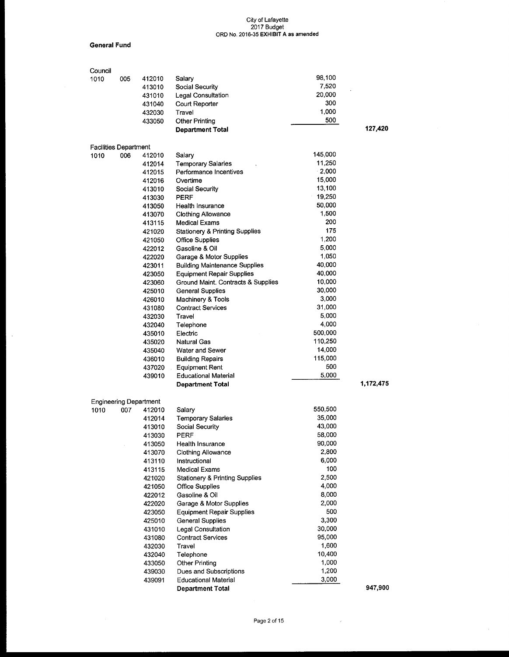General Fund

 $\mathcal{A}$ 

| Council                       |     |        |                                                     |                |           |
|-------------------------------|-----|--------|-----------------------------------------------------|----------------|-----------|
| 1010                          | 005 | 412010 | Salary                                              | 98,100         |           |
|                               |     | 413010 | <b>Social Security</b>                              | 7,520          |           |
|                               |     | 431010 | Legal Consultation                                  | 20,000         |           |
|                               |     | 431040 | Court Reporter                                      | 300            |           |
|                               |     | 432030 | Travel                                              | 1,000          |           |
|                               |     | 433050 | <b>Other Printing</b>                               | 500            |           |
|                               |     |        | <b>Department Total</b>                             |                | 127,420   |
|                               |     |        |                                                     |                |           |
| <b>Facilities Department</b>  |     |        |                                                     | 145,000        |           |
| 1010                          | 006 | 412010 | Salary                                              | 11.250         |           |
|                               |     | 412014 | <b>Temporary Salaries</b><br>Performance Incentives | $-2,000$       |           |
|                               |     | 412015 | Overtime                                            | 15,000         |           |
|                               |     | 412016 |                                                     | 13,100         |           |
|                               |     | 413010 | Social Security                                     | 19,250         |           |
|                               |     | 413030 | <b>PERF</b>                                         | 50,000         |           |
|                               |     | 413050 | Health Insurance                                    | 1,500          |           |
|                               |     | 413070 | <b>Clothing Allowance</b>                           | 200            |           |
|                               |     | 413115 | Medical Exams                                       | 175            |           |
|                               |     | 421020 | <b>Stationery &amp; Printing Supplies</b>           | 1,200          |           |
|                               |     | 421050 | <b>Office Supplies</b>                              | 5,000          |           |
|                               |     | 422012 | Gasoline & Oil                                      | 1,050          |           |
|                               |     | 422020 | Garage & Motor Supplies                             | 40,000         |           |
|                               |     | 423011 | <b>Building Maintenance Supplies</b>                | 40,000         |           |
|                               |     | 423050 | <b>Equipment Repair Supplies</b>                    | 10,000         |           |
|                               |     | 423060 | Ground Maint. Contracts & Supplies                  | 30,000         |           |
|                               |     | 425010 | <b>General Supplies</b>                             | 3,000          |           |
|                               |     | 426010 | Machinery & Tools                                   | 31,000         |           |
|                               |     | 431080 | <b>Contract Services</b>                            |                |           |
|                               |     | 432030 | Travel                                              | 5,000<br>4,000 |           |
|                               |     | 432040 | Telephone                                           | 500,000        |           |
|                               |     | 435010 | Electric                                            |                |           |
|                               |     | 435020 | <b>Natural Gas</b>                                  | 110,250        |           |
|                               |     | 435040 | Water and Sewer                                     | 14,000         |           |
|                               |     | 436010 | <b>Building Repairs</b>                             | 115,000<br>500 |           |
|                               |     | 437020 | <b>Equipment Rent</b><br>÷                          | 5,000          |           |
|                               |     | 439010 | <b>Educational Material</b>                         |                | 1,172,475 |
|                               |     |        | <b>Department Total</b>                             |                |           |
| <b>Engineering Department</b> |     |        |                                                     |                |           |
| 1010                          | 007 | 412010 | Salary                                              | 550,500        |           |
|                               |     | 412014 | <b>Temporary Salaries</b>                           | 35,000         |           |
|                               |     | 413010 | Social Security                                     | 43,000         |           |
|                               |     | 413030 | PERF                                                | 58,000         |           |
|                               |     | 413050 | Health Insurance                                    | 90,000         |           |
|                               |     | 413070 | Clothing Allowance                                  | 2,800          |           |
|                               |     | 413110 | Instructional                                       | 6,000          |           |
|                               |     | 413115 | <b>Medical Exams</b>                                | 100            |           |
|                               |     | 421020 | <b>Stationery &amp; Printing Supplies</b>           | 2,500          |           |
|                               |     | 421050 | Office Supplies                                     | 4,000          |           |
|                               |     | 422012 | Gasoline & Oil                                      | 8,000          |           |
|                               |     | 422020 | Garage & Motor Supplies                             | 2,000          |           |
|                               |     | 423050 | <b>Equipment Repair Supplies</b>                    | 500            |           |
|                               |     | 425010 | <b>General Supplies</b>                             | 3,300          |           |
|                               |     | 431010 | <b>Legal Consultation</b>                           | 30,000         |           |
|                               |     | 431080 | <b>Contract Services</b>                            | 95,000         |           |
|                               |     | 432030 | Travel                                              | 1,600          |           |
|                               |     | 432040 | Telephone                                           | 10,400         |           |
|                               |     | 433050 | <b>Other Printing</b>                               | 1,000          |           |
|                               |     | 439030 | Dues and Subscriptions                              | 1,200          |           |
|                               |     | 439091 | <b>Educational Material</b>                         | 3,000          |           |
|                               |     |        | <b>Department Total</b>                             |                | 947,900   |

 $\bar{\lambda}$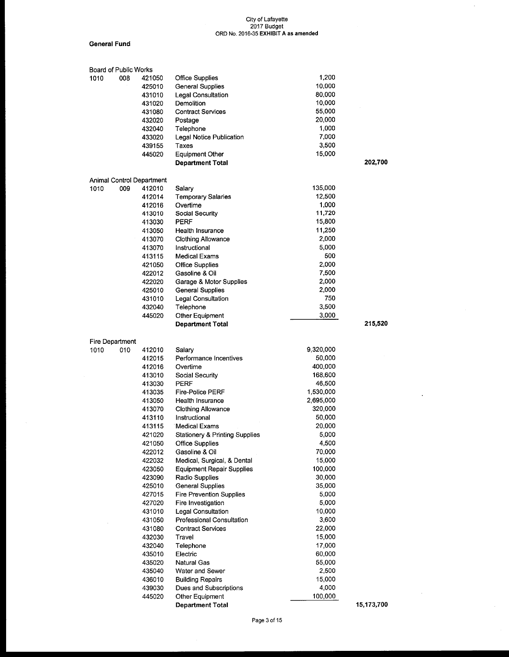$\hat{\mathcal{A}}$ 

#### General Fund

|      | Board of Public Works |                           |                                           |           |            |
|------|-----------------------|---------------------------|-------------------------------------------|-----------|------------|
| 1010 | 008                   | 421050                    | <b>Office Supplies</b>                    | 1,200     |            |
|      |                       | 425010                    | General Supplies                          | 10,000    |            |
|      |                       | 431010                    | Legal Consultation                        | 80,000    |            |
|      |                       | 431020                    | Demolition                                | 10,000    |            |
|      |                       | 431080                    | <b>Contract Services</b>                  | 55,000    |            |
|      |                       | 432020                    | Postage                                   | 20,000    |            |
|      |                       | 432040                    | Telephone                                 | 1,000     |            |
|      |                       | 433020                    | Legal Notice Publication                  | 7,000     |            |
|      |                       | 439155                    | Taxes                                     | 3,500     |            |
|      |                       | 445020                    | <b>Equipment Other</b>                    | 15,000    |            |
|      |                       |                           | <b>Department Total</b>                   |           | 202,700    |
|      |                       |                           |                                           |           |            |
|      |                       | Animal Control Department |                                           |           |            |
| 1010 | 009                   | 412010                    | Salary                                    | 135,000   |            |
|      |                       | 412014                    | <b>Temporary Salaries</b>                 | 12,500    |            |
|      |                       | 412016                    | Overtime                                  | 1,000     |            |
|      |                       | 413010                    | Social Security                           | 11,720    |            |
|      |                       | 413030                    | PERF                                      | 15,800    |            |
|      |                       | 413050                    | Health Insurance                          | 11,250    |            |
|      |                       | 413070                    | <b>Clothing Allowance</b>                 | 2,000     |            |
|      |                       | 413070                    | Instructional                             | 5,000     |            |
|      |                       | 413115                    | Medical Exams                             | 500       |            |
|      |                       | 421050                    | <b>Office Supplies</b>                    | 2,000     |            |
|      |                       | 422012                    | Gasoline & Oil                            | 7,500     |            |
|      |                       | 422020                    | Garage & Motor Supplies                   | 2,000     |            |
|      |                       | 425010                    | <b>General Supplies</b>                   | 2,000     |            |
|      |                       | 431010                    | Legal Consultation                        | 750       |            |
|      |                       | 432040                    | Telephone                                 | 3,500     |            |
|      |                       | 445020                    | Other Equipment                           | 3,000     |            |
|      |                       |                           | <b>Department Total</b>                   |           | 215,520    |
|      | Fire Department       |                           |                                           |           |            |
| 1010 | 010                   | 412010                    | Salary                                    | 9,320,000 |            |
|      |                       | 412015                    | Performance Incentives                    | 50,000    |            |
|      |                       | 412016                    | Overtime                                  | 400,000   |            |
|      |                       | 413010                    | Social Security                           | 168,600   |            |
|      |                       | 413030                    | PERF                                      | 46,500    |            |
|      |                       | 413035                    | <b>Fire-Police PERF</b>                   | 1,530,000 |            |
|      |                       | 413050                    | Health Insurance                          | 2,695,000 |            |
|      |                       | 413070                    | Clothing Allowance                        | 320,000   |            |
|      |                       | 413110                    | Instructional                             | 50,000    |            |
|      |                       | 413115                    | <b>Medical Exams</b>                      | 20,000    |            |
|      |                       | 421020                    | <b>Stationery &amp; Printing Supplies</b> | 5,000     |            |
|      |                       | 421050                    | <b>Office Supplies</b>                    | 4,500     |            |
|      |                       | 422012                    | Gasoline & Oil                            | 70,000    |            |
|      |                       | 422032                    | Medical, Surgical, & Dental               | 15,000    |            |
|      |                       | 423050                    | <b>Equipment Repair Supplies</b>          | 100,000   |            |
|      |                       | 423090                    | Radio Supplies                            | 30,000    |            |
|      |                       | 425010                    | <b>General Supplies</b>                   | 35,000    |            |
|      |                       | 427015                    | <b>Fire Prevention Supplies</b>           | 5,000     |            |
|      |                       | 427020                    | Fire Investigation                        | 5,000     |            |
|      |                       | 431010                    | <b>Legal Consultation</b>                 | 10,000    |            |
|      |                       | 431050                    | Professional Consultation                 | 3,600     |            |
|      |                       | 431080                    | <b>Contract Services</b>                  | 22,000    |            |
|      |                       | 432030                    | Travel                                    | 15,000    |            |
|      |                       | 432040                    | Telephone                                 | 17,000    |            |
|      |                       | 435010                    | Electric                                  | 60,000    |            |
|      |                       |                           | Natural Gas                               | 55,000    |            |
|      |                       | 435020<br>435040          | Water and Sewer                           | 2,500     |            |
|      |                       | 436010                    | <b>Building Repairs</b>                   | 15,000    |            |
|      |                       | 439030                    | Dues and Subscriptions                    | 4,000     |            |
|      |                       | 445020                    | Other Equipment                           | 100,000   |            |
|      |                       |                           | <b>Department Total</b>                   |           | 15,173,700 |
|      |                       |                           |                                           |           |            |

 $\bar{z}$ 

 $\sim$  .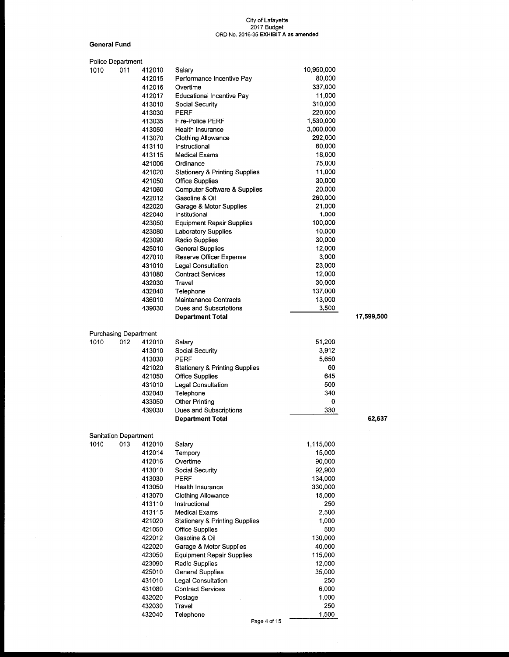#### General Fund

| <b>Police Department</b>             |     |        |                                           |            |            |
|--------------------------------------|-----|--------|-------------------------------------------|------------|------------|
| 1010                                 | 011 | 412010 | Salary                                    | 10,950,000 |            |
|                                      |     | 412015 | Performance Incentive Pay                 | 80,000     |            |
|                                      |     | 412016 | Overtime                                  | 337,000    |            |
|                                      |     | 412017 | Educational Incentive Pay                 | 11,000     |            |
|                                      |     | 413010 | Social Security                           | 310,000    |            |
|                                      |     | 413030 | <b>PERF</b>                               | 220,000    |            |
|                                      |     | 413035 | Fire-Police PERF                          | 1,530,000  |            |
|                                      |     | 413050 | Health Insurance                          | 3,000,000  |            |
|                                      |     | 413070 | Clothing Allowance                        | 292,000    |            |
|                                      |     |        |                                           | 60,000     |            |
|                                      |     | 413110 | Instructional                             |            |            |
|                                      |     | 413115 | <b>Medical Exams</b>                      | 18,000     |            |
|                                      |     | 421006 | Ordinance                                 | 75,000     |            |
|                                      |     | 421020 | <b>Stationery &amp; Printing Supplies</b> | 11,000     |            |
|                                      |     | 421050 | <b>Office Supplies</b>                    | 30,000     |            |
|                                      |     | 421060 | <b>Computer Software &amp; Supplies</b>   | 20,000     |            |
|                                      |     | 422012 | Gasoline & Oil                            | 260,000    |            |
|                                      |     | 422020 | Garage & Motor Supplies                   | 21,000     |            |
|                                      |     | 422040 | Institutional                             | 1,000      |            |
|                                      |     | 423050 | <b>Equipment Repair Supplies</b>          | 100,000    |            |
|                                      |     | 423080 | <b>Laboratory Supplies</b>                | 10,000     |            |
|                                      |     | 423090 | Radio Supplies                            | 30,000     |            |
|                                      |     | 425010 | <b>General Supplies</b>                   | 12,000     |            |
|                                      |     | 427010 | Reserve Officer Expense                   | 3,000      |            |
|                                      |     | 431010 | Legal Consultation                        | 23,000     |            |
|                                      |     | 431080 |                                           |            |            |
|                                      |     |        | <b>Contract Services</b>                  | 12,000     |            |
|                                      |     | 432030 | Travel                                    | 30,000     |            |
|                                      |     | 432040 | Telephone                                 | 137,000    |            |
|                                      |     | 436010 | Maintenance Contracts                     | 13,000     |            |
|                                      |     | 439030 | Dues and Subscriptions                    | 3,500      |            |
|                                      |     |        | <b>Department Total</b>                   |            | 17,599,500 |
| <b>Purchasing Department</b>         |     |        |                                           |            |            |
| 1010                                 | 012 | 412010 | Salary                                    | 51,200     |            |
|                                      |     | 413010 | Social Security                           | 3,912      |            |
|                                      |     | 413030 | PERF                                      | 5,650      |            |
|                                      |     | 421020 | <b>Stationery &amp; Printing Supplies</b> | 60         |            |
|                                      |     | 421050 | <b>Office Supplies</b>                    | 645        |            |
|                                      |     | 431010 | Legal Consultation                        | 500        |            |
|                                      |     | 432040 | Telephone                                 | 340        |            |
|                                      |     | 433050 | <b>Other Printing</b>                     | 0          |            |
|                                      |     | 439030 | Dues and Subscriptions                    | 330        |            |
|                                      |     |        | <b>Department Total</b>                   |            | 62,637     |
|                                      |     |        |                                           |            |            |
| <b>Sanitation Department</b><br>1010 | 013 | 412010 | Salary                                    | 1,115,000  |            |
|                                      |     |        |                                           | 15,000     |            |
|                                      |     | 412014 | Tempory                                   |            |            |
|                                      |     | 412016 | Overtime                                  | 90,000     |            |
|                                      |     | 413010 | Social Security                           | 92,900     |            |
|                                      |     | 413030 | <b>PERF</b>                               | 134,000    |            |
|                                      |     | 413050 | Health Insurance                          | 330,000    |            |
|                                      |     | 413070 | Clothing Allowance                        | 15,000     |            |
|                                      |     | 413110 | Instructional                             | 250        |            |
|                                      |     | 413115 | <b>Medical Exams</b>                      | 2,500      |            |
|                                      |     | 421020 | <b>Stationery &amp; Printing Supplies</b> | 1,000      |            |
|                                      |     | 421050 | <b>Office Supplies</b>                    | 500        |            |
|                                      |     | 422012 | Gasoline & Oil                            | 130,000    |            |
|                                      |     | 422020 | Garage & Motor Supplies                   | 40,000     |            |
|                                      |     | 423050 | <b>Equipment Repair Supplies</b>          | 115,000    |            |
|                                      |     | 423090 | Radio Supplies                            | 12,000     |            |
|                                      |     | 425010 | <b>General Supplies</b>                   | 35,000     |            |
|                                      |     | 431010 | Legal Consultation                        | 250        |            |
|                                      |     | 431080 | <b>Contract Services</b>                  | 6,000      |            |
|                                      |     |        |                                           | 1,000      |            |
|                                      |     | 432020 | Postage<br>Travel                         | 250        |            |
|                                      |     | 432030 |                                           |            |            |
|                                      |     | 432040 | Telephone<br>Page 4 of 15                 | 1,500      |            |
|                                      |     |        |                                           |            |            |

 $\bar{z}$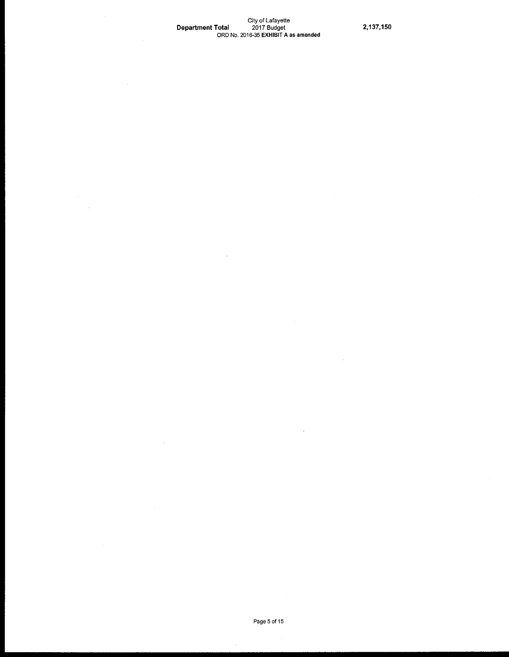## City of Lafayette Department Total 2017 Budget 2,137, 150 ORD No. 2016-35 EXHIBIT A as amended

 $\mathbf{r}$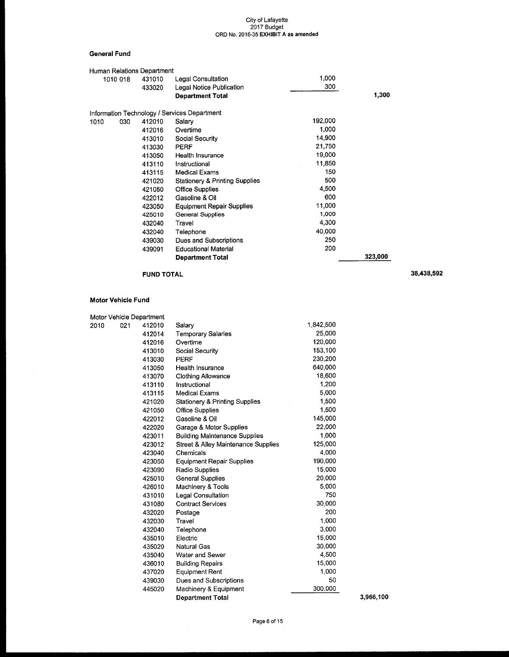#### City of Lafayette 2017 Laf Latayet<br>Budget ORD No. 2016-35 EXHIBIT A as amended

### General Fund

|      |          | Human Relations Department |                                              |         |         |
|------|----------|----------------------------|----------------------------------------------|---------|---------|
|      | 1010 018 | 431010                     | Legal Consultation                           | 1,000   |         |
|      |          | 433020                     | Legal Notice Publication                     | 300     |         |
|      |          |                            | <b>Department Total</b>                      |         | 1,300   |
|      |          |                            | Information Technology / Services Department |         |         |
| 1010 | 030      | 412010                     | Salary                                       | 192,000 |         |
|      |          | 412016                     | Overtime                                     | 1,000   |         |
|      |          | 413010                     | Social Security                              | 14,900  |         |
|      |          | 413030                     | <b>PERF</b>                                  | 21.750  |         |
|      |          | 413050                     | Health Insurance                             | 19,000  |         |
|      |          | 413110                     | Instructional                                | 11,850  |         |
|      |          | 413115                     | Medical Exams                                | 150     |         |
|      |          | 421020                     | <b>Stationery &amp; Printing Supplies</b>    | 500     |         |
|      |          | 421050                     | <b>Office Supplies</b>                       | 4.500   |         |
|      |          | 422012                     | Gasoline & Oil                               | 600     |         |
|      |          | 423050                     | <b>Equipment Repair Supplies</b>             | 11,000  |         |
|      |          | 425010                     | <b>General Supplies</b>                      | 1,000   |         |
|      |          | 432040                     | Travel                                       | 4,300   |         |
|      |          | 432040                     | Telephone                                    | 40,000  |         |
|      |          | 439030                     | Dues and Subscriptions                       | 250     |         |
|      |          | 439091                     | <b>Educational Material</b>                  | 200     |         |
|      |          |                            | <b>Department Total</b>                      |         | 323,000 |
|      |          |                            |                                              |         |         |

# FUND TOTAL 38,438,592

### Motor Vehicle Fund

| Motor Vehicle Department |                                                |           |           |
|--------------------------|------------------------------------------------|-----------|-----------|
| 2010<br>021<br>412010    | Salary                                         | 1,842,500 |           |
| 412014                   | <b>Temporary Salaries</b>                      | 25,000    |           |
| 412016                   | Overtime                                       | 120,000   |           |
| 413010                   | Social Security                                | 153,100   |           |
| 413030                   | PERF                                           | 230,200   |           |
| 413050                   | Health Insurance                               | 640.000   |           |
| 413070                   | <b>Clothing Allowance</b>                      | 18,600    |           |
| 413110                   | Instructional                                  | 1,200     |           |
| 413115                   | <b>Medical Exams</b>                           | 5,000     |           |
| 421020                   | <b>Stationery &amp; Printing Supplies</b>      | 1,500     |           |
| 421050                   | <b>Office Supplies</b>                         | 1,500     |           |
| 422012                   | Gasoline & Oil                                 | 145,000   |           |
| 422020                   | Garage & Motor Supplies                        | 22,000    |           |
| 423011                   | <b>Building Maintenance Supplies</b>           | 1,000     |           |
| 423012                   | <b>Street &amp; Alley Maintenance Supplies</b> | 125,000   |           |
| 423040                   | Chemicals                                      | 4,000     |           |
| 423050                   | <b>Equipment Repair Supplies</b>               | 190,000   |           |
| 423090                   | Radio Supplies                                 | 15,000    |           |
| 425010                   | <b>General Supplies</b>                        | 20,000    |           |
| 426010                   | Machinery & Tools                              | 5,000     |           |
| 431010                   | Legal Consultation                             | 750       |           |
| 431080                   | <b>Contract Services</b>                       | 30,000    |           |
| 432020                   | Postage                                        | 200       |           |
| 432030                   | Travel                                         | 1,000     |           |
| 432040                   | Telephone                                      | 3,000     |           |
| 435010                   | Electric                                       | 15,000    |           |
| 435020                   | <b>Natural Gas</b>                             | 30,000    |           |
| 435040                   | Water and Sewer                                | 4,500     |           |
| 436010                   | <b>Building Repairs</b>                        | 15,000    |           |
| 437020                   | <b>Equipment Rent</b>                          | 1.000     |           |
| 439030                   | Dues and Subscriptions                         | 50        |           |
| 445020                   | Machinery & Equipment                          | 300,000   |           |
|                          | <b>Department Total</b>                        |           | 3,966,100 |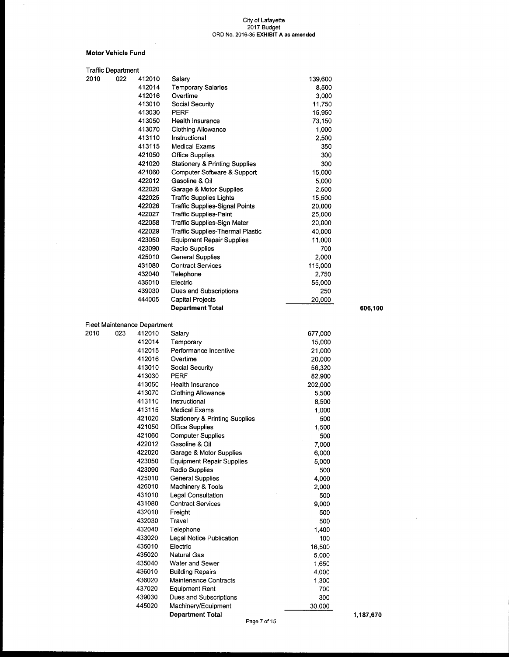#### Motor Vehicle Fund

 $\mathcal{L}_{\mathrm{in}}$ 

 $\bar{\gamma}$ 

| Traffic Department |     |                              |                                           |         |           |
|--------------------|-----|------------------------------|-------------------------------------------|---------|-----------|
| 2010               | 022 | 412010                       | Salary                                    | 139,600 |           |
|                    |     | 412014                       | <b>Temporary Salaries</b>                 | 8,500   |           |
|                    |     | 412016                       | Overtime                                  | 3,000   |           |
|                    |     | 413010                       | Social Security                           | 11,750  |           |
|                    |     | 413030                       | <b>PERF</b>                               | 15,950  |           |
|                    |     | 413050                       | Health Insurance                          | 73,150  |           |
|                    |     | 413070                       | Clothing Allowance                        | 1,000   |           |
|                    |     | 413110                       | Instructional                             | 2,500   |           |
|                    |     | 413115                       | <b>Medical Exams</b>                      | 350     |           |
|                    |     | 421050                       | <b>Office Supplies</b>                    | 300     |           |
|                    |     | 421020                       | <b>Stationery &amp; Printing Supplies</b> | 300     |           |
|                    |     | 421060                       | Computer Software & Support               | 15,000  |           |
|                    |     | 422012                       | Gasoline & Oil                            | 5,000   |           |
|                    |     | 422020                       | Garage & Motor Supplies                   | 2,500   |           |
|                    |     | 422025                       | Traffic Supplies Lights                   | 15,500  |           |
|                    |     |                              |                                           |         |           |
|                    |     | 422026                       | Traffic Supplies-Signal Points            | 20,000  |           |
|                    |     | 422027                       | <b>Traffic Supplies-Paint</b>             | 25,000  |           |
|                    |     | 422058                       | Traffic Supplies-Sign Mater               | 20,000  |           |
|                    |     | 422029                       | <b>Traffic Supplies-Thermal Plastic</b>   | 40,000  |           |
|                    |     | 423050                       | Equipment Repair Supplies                 | 11,000  |           |
|                    |     | 423090                       | Radio Supplies                            | 700     |           |
|                    |     | 425010                       | <b>General Supplies</b>                   | 2,000   |           |
|                    |     | 431080                       | <b>Contract Services</b>                  | 115,000 |           |
|                    |     | 432040                       | Telephone                                 | 2,750   |           |
|                    |     | 435010                       | Electric                                  | 55,000  |           |
|                    |     | 439030                       | Dues and Subscriptions                    | 250     |           |
|                    |     | 444005                       | <b>Capital Projects</b>                   | 20,000  |           |
|                    |     |                              | <b>Department Total</b>                   |         | 606,100   |
|                    |     |                              |                                           |         |           |
|                    |     | Fleet Maintenance Department |                                           |         |           |
| 2010               | 023 | 412010                       | Salary                                    | 677,000 |           |
|                    |     | 412014                       | Temporary                                 | 15,000  |           |
|                    |     | 412015                       | Performance Incentive                     | 21,000  |           |
|                    |     | 412016                       | Overtime                                  | 20,000  |           |
|                    |     | 413010                       | Social Security                           | 56,320  |           |
|                    |     | 413030                       | <b>PERF</b>                               |         |           |
|                    |     | 413050                       |                                           | 82,900  |           |
|                    |     |                              | Health Insurance                          | 202,000 |           |
|                    |     | 413070                       | <b>Clothing Allowance</b>                 | 5,500   |           |
|                    |     | 413110                       | Instructional                             | 8,500   |           |
|                    |     | 413115                       | <b>Medical Exams</b>                      | 1,000   |           |
|                    |     | 421020                       | <b>Stationery &amp; Printing Supplies</b> | 500     |           |
|                    |     | 421050                       | <b>Office Supplies</b>                    | 1,500   |           |
|                    |     | 421060                       | <b>Computer Supplies</b>                  | 500     |           |
|                    |     | 422012                       | Gasoline & Oil                            | 7,000   |           |
|                    |     | 422020                       | Garage & Motor Supplies                   | 6,000   |           |
|                    |     | 423050                       | <b>Equipment Repair Supplies</b>          | 5,000   |           |
|                    |     | 423090                       | Radio Supplies                            | 500     |           |
|                    |     | 425010                       | General Supplies                          | 4,000   |           |
|                    |     | 426010                       | Machinery & Tools                         | 2,000   |           |
|                    |     | 431010                       | Legal Consultation                        | 500     |           |
|                    |     | 431080                       | <b>Contract Services</b>                  | 9,000   |           |
|                    |     | 432010                       | Freight                                   | 500     |           |
|                    |     | 432030                       | Travel                                    | 500     |           |
|                    |     | 432040                       | Telephone                                 | 1,400   |           |
|                    |     | 433020                       | Legal Notice Publication                  | 100     |           |
|                    |     | 435010                       |                                           |         |           |
|                    |     |                              | Electric                                  | 16,500  |           |
|                    |     | 435020                       | Natural Gas                               | 5,000   |           |
|                    |     | 435040                       | Water and Sewer                           | 1,650   |           |
|                    |     | 436010                       | <b>Building Repairs</b>                   | 4,000   |           |
|                    |     | 436020                       | Maintenance Contracts                     | 1,300   |           |
|                    |     | 437020                       | Equipment Rent                            | 700     |           |
|                    |     | 439030                       | Dues and Subscriptions                    | 300     |           |
|                    |     | 445020                       | Machinery/Equipment                       | 30,000  |           |
|                    |     |                              | <b>Department Total</b>                   |         | 1,187,670 |

 $\bar{\Lambda}$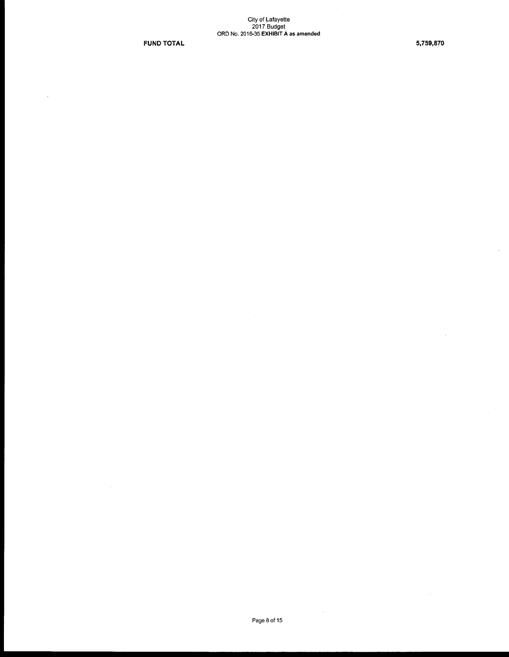FUND TOTAL 5,759,870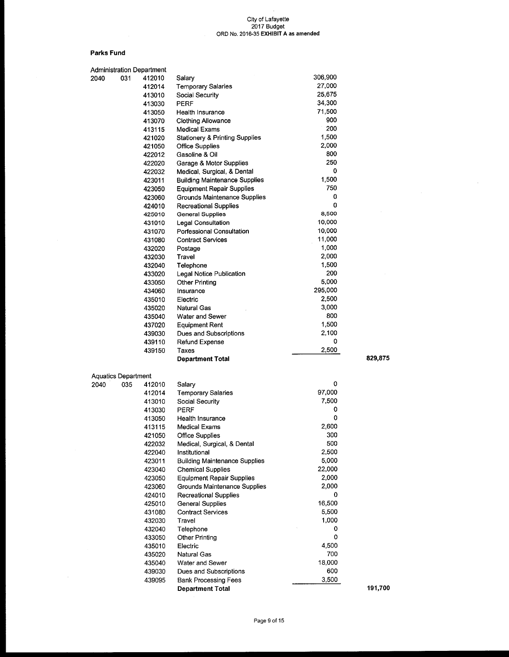$\bar{z}$ 

#### Parks Fund

 $\sim$ 

|      |                            | <b>Administration Department</b> |                                           |         |         |
|------|----------------------------|----------------------------------|-------------------------------------------|---------|---------|
| 2040 | 031                        | 412010                           | Salary                                    | 306,900 |         |
|      |                            | 412014                           | <b>Temporary Salaries</b>                 | 27,000  |         |
|      |                            | 413010                           | Social Security                           | 25,675  |         |
|      |                            | 413030                           | PERF                                      | 34,300  |         |
|      |                            | 413050                           | Health Insurance                          | 71,500  |         |
|      |                            | 413070                           | <b>Clothing Allowance</b>                 | 900     |         |
|      |                            | 413115                           | <b>Medical Exams</b>                      | 200     |         |
|      |                            | 421020                           | <b>Stationery &amp; Printing Supplies</b> | 1,500   |         |
|      |                            | 421050                           | <b>Office Supplies</b>                    | 2,000   |         |
|      |                            | 422012                           | Gasoline & Oil                            | 800     |         |
|      |                            | 422020                           | Garage & Motor Supplies                   | 250     |         |
|      |                            | 422032                           | Medical, Surgical, & Dental               | 0       |         |
|      |                            | 423011                           | <b>Building Maintenance Supplies</b>      | 1,500   |         |
|      |                            | 423050                           | <b>Equipment Repair Supplies</b>          | 750     |         |
|      |                            | 423060                           | Grounds Maintenance Supplies              | 0       |         |
|      |                            | 424010                           | Recreational Supplies                     | 0       |         |
|      |                            | 425010                           | <b>General Supplies</b>                   | 8,500   |         |
|      |                            | 431010                           | Legal Consultation                        | 10,000  |         |
|      |                            | 431070                           | Porfessional Consultation                 | 10,000  |         |
|      |                            | 431080                           | <b>Contract Services</b>                  | 11,000  |         |
|      |                            |                                  |                                           | 1,000   |         |
|      |                            | 432020                           | Postage                                   | 2,000   |         |
|      |                            | 432030                           | Travel                                    | 1,500   |         |
|      |                            | 432040                           | Telephone                                 |         |         |
|      |                            | 433020                           | Legal Notice Publication                  | 200     |         |
|      |                            | 433050                           | <b>Other Printing</b>                     | 5,000   |         |
|      |                            | 434060                           | Insurance                                 | 295,000 |         |
|      |                            | 435010                           | Electric                                  | 2,500   |         |
|      |                            | 435020                           | Natural Gas                               | 3,000   |         |
|      |                            | 435040                           | Water and Sewer                           | 800     |         |
|      |                            | 437020                           | <b>Equipment Rent</b>                     | 1,500   |         |
|      |                            | 439030                           | Dues and Subscriptions                    | 2,100   |         |
|      |                            | 439110                           | Refund Expense                            | 0       |         |
|      |                            | 439150                           | Taxes                                     | 2,500   |         |
|      |                            |                                  | <b>Department Total</b>                   |         | 829,875 |
|      |                            |                                  |                                           |         |         |
|      | <b>Aquatics Department</b> |                                  |                                           | 0       |         |
| 2040 | 035                        | 412010                           | Salary                                    |         |         |
|      |                            | 412014                           | <b>Temporary Salaries</b>                 | 97,000  |         |
|      |                            | 413010                           | Social Security                           | 7,500   |         |
|      |                            | 413030                           | PERF                                      | 0       |         |
|      |                            | 413050                           | Health Insurance                          | 0       |         |
|      |                            | 413115                           | <b>Medical Exams</b>                      | 2,600   |         |
|      |                            | 421050                           | <b>Office Supplies</b>                    | 300     |         |
|      |                            | 422032                           | Medical, Surgical, & Dental               | 500     |         |
|      |                            | 422040                           | Institutional                             | 2,500   |         |
|      |                            | 423011                           | <b>Building Maintenance Supplies</b>      | 5,000   |         |
|      |                            | 423040                           | <b>Chemical Supplies</b>                  | 22,000  |         |
|      |                            | 423050                           | <b>Equipment Repair Supplies</b>          | 2,000   |         |
|      |                            | 423060                           | Grounds Maintenance Supplies              | 2,000   |         |
|      |                            | 424010                           | <b>Recreational Supplies</b>              | 0       |         |
|      |                            | 425010                           | <b>General Supplies</b>                   | 16,500  |         |
|      |                            | 431080                           | <b>Contract Services</b>                  | 5,500   |         |
|      |                            | 432030                           | Travel                                    | 1,000   |         |
|      |                            | 432040                           | Telephone                                 | 0       |         |
|      |                            | 433050                           | Other Printing                            | 0       |         |
|      |                            | 435010                           | Electric                                  | 4,500   |         |
|      |                            | 435020                           | Natural Gas                               | 700     |         |
|      |                            | 435040                           | Water and Sewer                           | 18,000  |         |
|      |                            | 439030                           | Dues and Subscriptions                    | 600     |         |
|      |                            | 439095                           | <b>Bank Processing Fees</b>               | 3,500   |         |
|      |                            |                                  | <b>Department Total</b>                   |         | 191,700 |
|      |                            |                                  |                                           |         |         |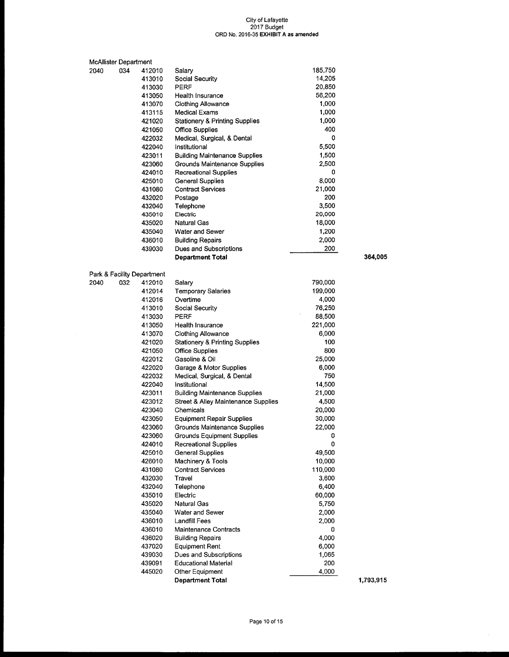| <b>McAllister Department</b> |     |                            |                                          |                |           |
|------------------------------|-----|----------------------------|------------------------------------------|----------------|-----------|
| 2040                         | 034 | 412010                     | Salary                                   | 185,750        |           |
|                              |     | 413010                     | Social Security                          | 14,205         |           |
|                              |     | 413030                     | PERF                                     | 20,850         |           |
|                              |     | 413050                     | Health Insurance                         | 56,200         |           |
|                              |     | 413070                     | <b>Clothing Allowance</b>                | 1,000          |           |
|                              |     | 413115                     | Medical Exams                            | 1,000          |           |
|                              |     | 421020                     | Stationery & Printing Supplies           | 1,000          |           |
|                              |     | 421050                     | <b>Office Supplies</b>                   | 400            |           |
|                              |     | 422032                     | Medical, Surgical, & Dental              | 0              |           |
|                              |     | 422040                     | Institutional                            | 5,500          |           |
|                              |     | 423011                     | Building Maintenance Supplies            | 1,500          |           |
|                              |     | 423060                     | Grounds Maintenance Supplies             | 2,500          |           |
|                              |     | 424010                     | <b>Recreational Supplies</b>             | 0              |           |
|                              |     | 425010                     | <b>General Supplies</b>                  | 8,000          |           |
|                              |     | 431080                     | <b>Contract Services</b>                 | 21,000         |           |
|                              |     | 432020                     | Postage                                  | 200            |           |
|                              |     | 432040                     | Telephone                                | 3,500          |           |
|                              |     | 435010                     | Electric                                 | 20,000         |           |
|                              |     | 435020                     | Natural Gas                              | 18,000         |           |
|                              |     | 435040                     | <b>Water and Sewer</b>                   | 1,200          |           |
|                              |     | 436010                     | Building Repairs                         | 2,000          |           |
|                              |     | 439030                     | Dues and Subscriptions                   | 200            |           |
|                              |     |                            | Department Total                         |                | 364,005   |
|                              |     |                            |                                          |                |           |
|                              |     | Park & Facility Department |                                          |                |           |
| 2040                         | 032 | 412010                     | Salary                                   | 790,000        |           |
|                              |     | 412014                     | <b>Temporary Salaries</b>                | 199,000        |           |
|                              |     | 412016                     | Overtime                                 | 4,000          |           |
|                              |     | 413010                     | Social Security                          | 76,250         |           |
|                              |     | 413030                     | <b>PERF</b>                              | 88,500         |           |
|                              |     | 413050                     | Health Insurance                         | 221,000        |           |
|                              |     | 413070                     | <b>Clothing Allowance</b>                | 6,000          |           |
|                              |     | 421020                     | Stationery & Printing Supplies           | 100            |           |
|                              |     | 421050                     | <b>Office Supplies</b>                   | 800            |           |
|                              |     | 422012                     | Gasoline & Oil                           | 25,000         |           |
|                              |     | 422020                     | Garage & Motor Supplies                  | 6,000          |           |
|                              |     | 422032                     | Medical, Surgical, & Dental              | 750            |           |
|                              |     | 422040                     | Institutional                            | 14,500         |           |
|                              |     | 423011                     | Building Maintenance Supplies            | 21,000         |           |
|                              |     | 423012                     | Street & Alley Maintenance Supplies      | 4,500          |           |
|                              |     | 423040                     | Chemicals                                | 20,000         |           |
|                              |     | 423050                     | <b>Equipment Repair Supplies</b>         | 30,000         |           |
|                              |     | 423060                     | Grounds Maintenance Supplies             | 22,000         |           |
|                              |     | 423060                     | <b>Grounds Equipment Supplies</b>        | 0              |           |
|                              |     | 424010                     | <b>Recreational Supplies</b>             | 0              |           |
|                              |     | 425010                     | <b>General Supplies</b>                  | 49,500         |           |
|                              |     | 426010                     | Machinery & Tools                        | 10,000         |           |
|                              |     | 431080                     | <b>Contract Services</b>                 | 110,000        |           |
|                              |     | 432030                     | Travel                                   | 3,600          |           |
|                              |     | 432040                     | Telephone                                | 6,400          |           |
|                              |     | 435010                     | Electric                                 | 60,000         |           |
|                              |     | 435020                     | Natural Gas                              | 5,750          |           |
|                              |     | 435040                     | Water and Sewer                          | 2,000          |           |
|                              |     | 436010                     | Landfill Fees                            | 2,000          |           |
|                              |     | 436010                     | Maintenance Contracts                    | 0              |           |
|                              |     | 436020                     |                                          | 4,000          |           |
|                              |     |                            | <b>Building Repairs</b>                  |                |           |
|                              |     | 437020<br>439030           | Equipment Rent<br>Dues and Subscriptions | 6,000<br>1,065 |           |
|                              |     | 439091                     | <b>Educational Material</b>              | 200            |           |
|                              |     | 445020                     | Other Equipment                          | 4,000          |           |
|                              |     |                            | <b>Department Total</b>                  |                | 1,793,915 |
|                              |     |                            |                                          |                |           |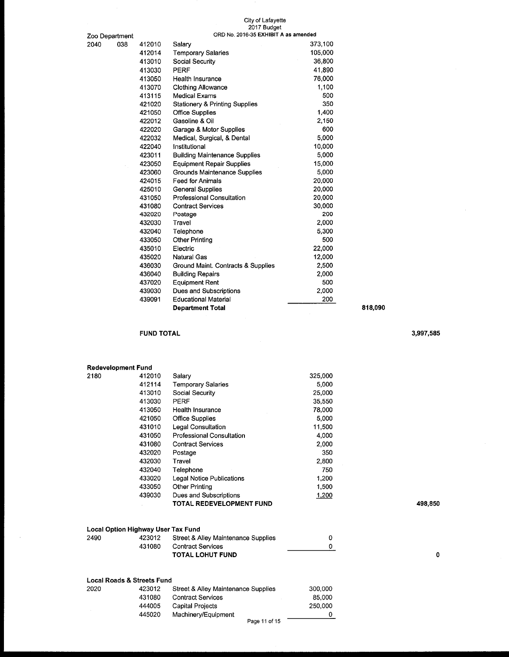# City of Lafayette 2017 Budget

| Zoo Department |     |        | ORD No. 2016-35 EXHIBIT A as amended      |         |  |
|----------------|-----|--------|-------------------------------------------|---------|--|
| 2040           | 038 | 412010 | Salary                                    | 373,100 |  |
|                |     | 412014 | <b>Temporary Salaries</b>                 | 105,000 |  |
|                |     | 413010 | Social Security                           | 36,800  |  |
|                |     | 413030 | <b>PERF</b>                               | 41,890  |  |
|                |     | 413050 | Health Insurance                          | 76,000  |  |
|                |     | 413070 | <b>Clothing Allowance</b>                 | 1,100   |  |
|                |     | 413115 | <b>Medical Exams</b>                      | 500     |  |
|                |     | 421020 | <b>Stationery &amp; Printing Supplies</b> | 350     |  |
|                |     | 421050 | <b>Office Supplies</b>                    | 1,400   |  |
|                |     | 422012 | Gasoline & Oil                            | 2,150   |  |
|                |     | 422020 | Garage & Motor Supplies                   | 600     |  |
|                |     | 422032 | Medical, Surgical, & Dental               | 5,000   |  |
|                |     | 422040 | Institutional                             | 10,000  |  |
|                |     | 423011 | <b>Building Maintenance Supplies</b>      | 5,000   |  |
|                |     | 423050 | <b>Equipment Repair Supplies</b>          | 15,000  |  |
|                |     | 423060 | Grounds Maintenance Supplies              | 5,000   |  |
|                |     | 424015 | <b>Feed for Animals</b>                   | 20,000  |  |
|                |     | 425010 | <b>General Supplies</b>                   | 20,000  |  |
|                |     | 431050 | <b>Professional Consultation</b>          | 20,000  |  |
|                |     | 431080 | <b>Contract Services</b>                  | 30,000  |  |
|                |     | 432020 | Postage                                   | 200     |  |
|                |     | 432030 | Travel                                    | 2,000   |  |
|                |     | 432040 | Telephone                                 | 5,300   |  |
|                |     | 433050 | <b>Other Printing</b>                     | 500     |  |
|                |     | 435010 | Electric                                  | 22,000  |  |
|                |     | 435020 | <b>Natural Gas</b>                        | 12,000  |  |
|                |     | 436030 | Ground Maint. Contracts & Supplies        | 2,500   |  |
|                |     | 436040 | <b>Building Repairs</b>                   | 2,000   |  |
|                |     | 437020 | <b>Equipment Rent</b>                     | 500     |  |
|                |     | 439030 | Dues and Subscriptions                    | 2,000   |  |
|                |     | 439091 | <b>Educational Material</b>               | 200     |  |
|                |     |        | <b>Department Total</b>                   |         |  |

### FUND TOTAL 3,997,585

 $\sim$ 

| <b>Redevelopment Fund</b> |        |                                  |         |         |
|---------------------------|--------|----------------------------------|---------|---------|
| 2180                      | 412010 | Salary                           | 325,000 |         |
|                           | 412114 | <b>Temporary Salaries</b>        | 5,000   |         |
|                           | 413010 | Social Security                  | 25,000  |         |
|                           | 413030 | PERF                             | 35.550  |         |
|                           | 413050 | Health Insurance                 | 78.000  |         |
|                           | 421050 | <b>Office Supplies</b>           | 5,000   |         |
|                           | 431010 | <b>Legal Consultation</b>        | 11,500  |         |
|                           | 431050 | <b>Professional Consultation</b> | 4,000   |         |
|                           | 431080 | <b>Contract Services</b>         | 2.000   |         |
|                           | 432020 | Postage                          | 350     |         |
|                           | 432030 | Travel                           | 2,800   |         |
|                           | 432040 | Telephone                        | 750     |         |
|                           | 433020 | Legal Notice Publications        | 1,200   |         |
|                           | 433050 | Other Printing                   | 1,500   |         |
|                           | 439030 | Dues and Subscriptions           | 1,200   |         |
|                           |        | TOTAL REDEVELOPMENT FUND         |         | 498.850 |

|      | Local Option Highway User Tax Fund |                                            |  |
|------|------------------------------------|--------------------------------------------|--|
| 2490 |                                    | 423012 Street & Alley Maintenance Supplies |  |
|      | 431080                             | Contract Services                          |  |
|      |                                    | <b>TOTAL LOHUT FUND</b>                    |  |

|      | Local Roads & Streets Fund |                                     |         |
|------|----------------------------|-------------------------------------|---------|
| 2020 | 423012                     | Street & Alley Maintenance Supplies | 300,000 |
|      | 431080                     | <b>Contract Services</b>            | 85,000  |
|      | 444005                     | <b>Capital Projects</b>             | 250,000 |
|      | 445020                     | Machinery/Equipment                 | 0       |
|      |                            | Page 11 of 15                       |         |

818,090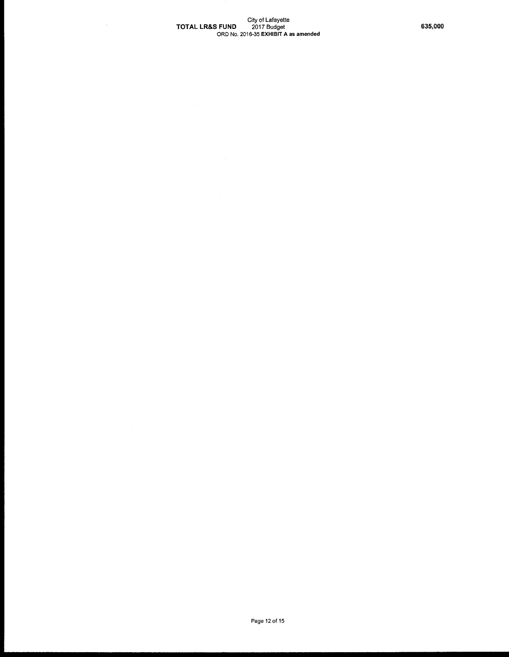## City of Lafayette<br>TOTAL LR&S FUND 2017 Budget 635,000 635,000 ORD No. 2016-35 EXHIBIT A as amended

 $\sim$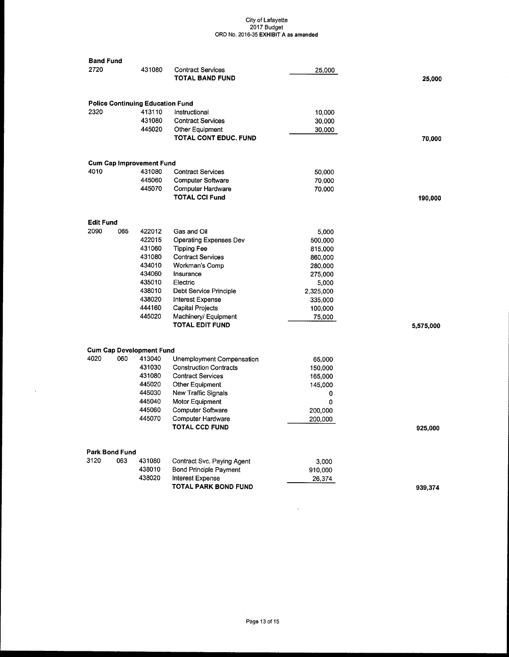| <b>Band Fund</b> |                |                                         |                                             |           |           |
|------------------|----------------|-----------------------------------------|---------------------------------------------|-----------|-----------|
| 2720             |                | 431080                                  | <b>Contract Services</b><br>TOTAL BAND FUND | 25,000    | 25,000    |
|                  |                |                                         |                                             |           |           |
|                  |                | <b>Police Continuing Education Fund</b> |                                             |           |           |
| 2320             |                | 413110                                  | Instructional                               | 10,000    |           |
|                  |                | 431080                                  | <b>Contract Services</b>                    | 30,000    |           |
|                  |                | 445020                                  | Other Equipment                             | 30,000    |           |
|                  |                |                                         | <b>TOTAL CONT EDUC. FUND</b>                |           | 70,000    |
|                  |                | <b>Cum Cap Improvement Fund</b>         |                                             |           |           |
| 4010             |                | 431080                                  | <b>Contract Services</b>                    | 50,000    |           |
|                  |                | 445060                                  | Computer Software                           | 70,000    |           |
|                  |                | 445070                                  | Computer Hardware                           | 70,000    |           |
|                  |                |                                         | <b>TOTAL CCI Fund</b>                       |           | 190,000   |
| <b>Edit Fund</b> |                |                                         |                                             |           |           |
| 2090             | 065            | 422012                                  | Gas and Oil                                 | 5,000     |           |
|                  |                | 422015                                  | <b>Operating Expenses Dev</b>               | 500,000   |           |
|                  |                | 431060                                  | <b>Tipping Fee</b>                          | 815,000   |           |
|                  |                | 431080                                  | <b>Contract Services</b>                    | 860,000   |           |
|                  |                | 434010                                  | Workman's Comp                              | 280,000   |           |
|                  |                | 434060                                  | Insurance                                   | 275,000   |           |
|                  |                | 435010                                  | Electric                                    | 5,000     |           |
|                  |                | 438010                                  | Debt Service Principle                      | 2,325,000 |           |
|                  |                | 438020                                  | Interest Expense                            | 335,000   |           |
|                  |                | 444160                                  | Capital Projects                            | 100,000   |           |
|                  |                | 445020                                  | Machinery/ Equipment                        | 75,000    |           |
|                  |                |                                         | TOTAL EDIT FUND                             |           | 5,575,000 |
|                  |                | <b>Cum Cap Development Fund</b>         |                                             |           |           |
| 4020             | 060            | 413040                                  | Unemployment Compensation                   | 65,000    |           |
|                  |                | 431030                                  | <b>Construction Contracts</b>               | 150,000   |           |
|                  |                | 431080                                  | <b>Contract Services</b>                    | 165,000   |           |
|                  |                | 445020                                  | Other Equipment                             | 145,000   |           |
|                  |                | 445030                                  | <b>New Traffic Signals</b>                  | 0         |           |
|                  |                | 445040                                  | Motor Equipment                             | 0         |           |
|                  |                | 445060                                  | <b>Computer Software</b>                    | 200,000   |           |
|                  |                | 445070                                  | <b>Computer Hardware</b>                    | 200,000   |           |
|                  |                |                                         | <b>TOTAL CCD FUND</b>                       |           | 925,000   |
|                  | Park Bond Fund |                                         |                                             |           |           |
| 3120             | 063            | 431080                                  | Contract Svc. Paying Agent                  | 3,000     |           |
|                  |                | 438010                                  | <b>Bond Principle Payment</b>               | 910,000   |           |
|                  |                | 438020                                  | <b>Interest Expense</b>                     | 26,374    |           |
|                  |                |                                         | <b>TOTAL PARK BOND FUND</b>                 |           |           |
|                  |                |                                         |                                             |           | 939,374   |

 $\bar{z}$ 

 $\bar{\lambda}$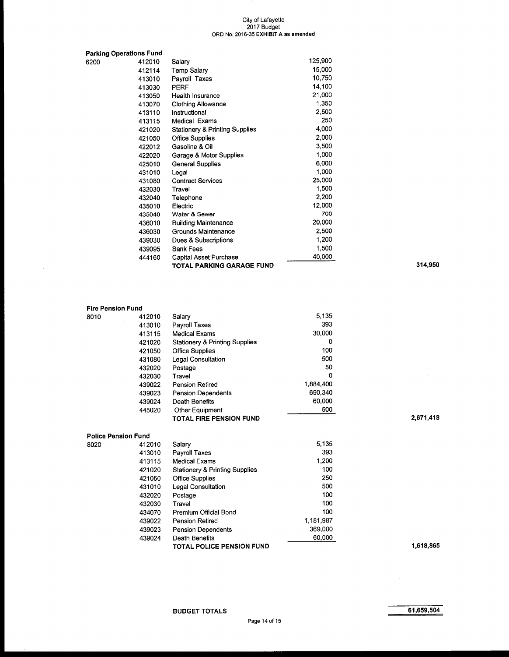|      | Parking Operations Fund |                                           |         |         |
|------|-------------------------|-------------------------------------------|---------|---------|
| 6200 | 412010                  | Salary                                    | 125,900 |         |
|      | 412114                  | Temp Salary                               | 15,000  |         |
|      | 413010                  | Payroll Taxes                             | 10,750  |         |
|      | 413030                  | <b>PERF</b>                               | 14,100  |         |
|      | 413050                  | Health Insurance                          | 21.000  |         |
|      | 413070                  | <b>Clothing Allowance</b>                 | 1,350   |         |
|      | 413110                  | Instructional                             | 2,500   |         |
|      | 413115                  | Medical Exams                             | 250     |         |
|      | 421020                  | <b>Stationery &amp; Printing Supplies</b> | 4,000   |         |
|      | 421050                  | <b>Office Supplies</b>                    | 2,000   |         |
|      | 422012                  | Gasoline & Oil                            | 3,500   |         |
|      | 422020                  | Garage & Motor Supplies                   | 1,000   |         |
|      | 425010                  | <b>General Supplies</b>                   | 6,000   |         |
|      | 431010                  | Legal                                     | 1,000   |         |
|      | 431080                  | <b>Contract Services</b>                  | 25,000  |         |
|      | 432030                  | Travel                                    | 1,500   |         |
|      | 432040                  | Telephone                                 | 2,200   |         |
|      | 435010                  | Electric                                  | 12,000  |         |
|      | 435040                  | Water & Sewer                             | 700     |         |
|      | 436010                  | <b>Building Maintenance</b>               | 20,000  |         |
|      | 436030                  | Grounds Maintenance                       | 2,500   |         |
|      | 439030                  | Dues & Subscriptions                      | 1,200   |         |
|      | 439095                  | <b>Bank Fees</b>                          | 1,500   |         |
|      | 444160                  | Capital Asset Purchase                    | 40,000  |         |
|      |                         | <b>TOTAL PARKING GARAGE FUND</b>          |         | 314,950 |

# Fire Pension Fund<br>8010 4120

| 8010 | 412010 | Salary                                    | 5,135     |
|------|--------|-------------------------------------------|-----------|
|      | 413010 | Payroll Taxes                             | 393       |
|      | 413115 | <b>Medical Exams</b>                      | 30,000    |
|      | 421020 | <b>Stationery &amp; Printing Supplies</b> | 0         |
|      | 421050 | <b>Office Supplies</b>                    | 100       |
|      | 431080 | Legal Consultation                        | 500       |
|      | 432020 | Postage                                   | 50        |
|      | 432030 | Travel                                    | 0         |
|      | 439022 | <b>Pension Retired</b>                    | 1.884,400 |
|      | 439023 | <b>Pension Dependents</b>                 | 690,340   |
|      | 439024 | Death Benefits                            | 60,000    |
|      | 445020 | <b>Other Equipment</b>                    | 500       |
|      |        | <b>TOTAL FIRE PENSION FUND</b>            |           |

# Police Pension Fund<br>8020 4120

| 8020 | 412010 | Salary                           | 5,135     |
|------|--------|----------------------------------|-----------|
|      | 413010 | Payroll Taxes                    | 393       |
|      | 413115 | Medical Exams                    | 1,200     |
|      | 421020 | Stationery & Printing Supplies   | 100       |
|      | 421050 | <b>Office Supplies</b>           | 250       |
|      | 431010 | Legal Consultation               | 500       |
|      | 432020 | Postage                          | 100       |
|      | 432030 | Travel                           | 100       |
|      | 434070 | Premium Official Bond            | 100       |
|      | 439022 | Pension Retired                  | 1,181,987 |
|      | 439023 | Pension Dependents               | 369,000   |
|      | 439024 | Death Benefits                   | 60,000    |
|      |        | <b>TOTAL POLICE PENSION FUND</b> |           |

 $2,671,418$ 

1,618,865